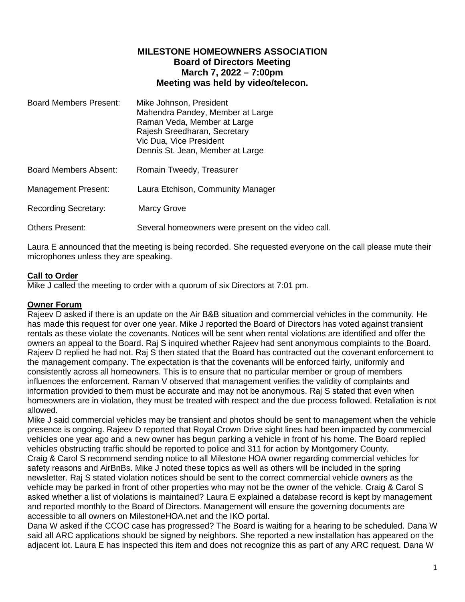# **MILESTONE HOMEOWNERS ASSOCIATION Board of Directors Meeting March 7, 2022 – 7:00pm Meeting was held by video/telecon.**

| <b>Board Members Present:</b> | Mike Johnson, President<br>Mahendra Pandey, Member at Large<br>Raman Veda, Member at Large<br>Rajesh Sreedharan, Secretary<br>Vic Dua, Vice President<br>Dennis St. Jean, Member at Large |
|-------------------------------|-------------------------------------------------------------------------------------------------------------------------------------------------------------------------------------------|
| <b>Board Members Absent:</b>  | Romain Tweedy, Treasurer                                                                                                                                                                  |
| Management Present:           | Laura Etchison, Community Manager                                                                                                                                                         |
| <b>Recording Secretary:</b>   | Marcy Grove                                                                                                                                                                               |
| <b>Others Present:</b>        | Several homeowners were present on the video call.                                                                                                                                        |

Laura E announced that the meeting is being recorded. She requested everyone on the call please mute their microphones unless they are speaking.

### **Call to Order**

Mike J called the meeting to order with a quorum of six Directors at 7:01 pm.

#### **Owner Forum**

Rajeev D asked if there is an update on the Air B&B situation and commercial vehicles in the community. He has made this request for over one year. Mike J reported the Board of Directors has voted against transient rentals as these violate the covenants. Notices will be sent when rental violations are identified and offer the owners an appeal to the Board. Raj S inquired whether Rajeev had sent anonymous complaints to the Board. Rajeev D replied he had not. Raj S then stated that the Board has contracted out the covenant enforcement to the management company. The expectation is that the covenants will be enforced fairly, uniformly and consistently across all homeowners. This is to ensure that no particular member or group of members influences the enforcement. Raman V observed that management verifies the validity of complaints and information provided to them must be accurate and may not be anonymous. Raj S stated that even when homeowners are in violation, they must be treated with respect and the due process followed. Retaliation is not allowed.

Mike J said commercial vehicles may be transient and photos should be sent to management when the vehicle presence is ongoing. Rajeev D reported that Royal Crown Drive sight lines had been impacted by commercial vehicles one year ago and a new owner has begun parking a vehicle in front of his home. The Board replied vehicles obstructing traffic should be reported to police and 311 for action by Montgomery County. Craig & Carol S recommend sending notice to all Milestone HOA owner regarding commercial vehicles for safety reasons and AirBnBs. Mike J noted these topics as well as others will be included in the spring newsletter. Raj S stated violation notices should be sent to the correct commercial vehicle owners as the vehicle may be parked in front of other properties who may not be the owner of the vehicle. Craig & Carol S asked whether a list of violations is maintained? Laura E explained a database record is kept by management and reported monthly to the Board of Directors. Management will ensure the governing documents are accessible to all owners on MilestoneHOA.net and the IKO portal.

Dana W asked if the CCOC case has progressed? The Board is waiting for a hearing to be scheduled. Dana W said all ARC applications should be signed by neighbors. She reported a new installation has appeared on the adjacent lot. Laura E has inspected this item and does not recognize this as part of any ARC request. Dana W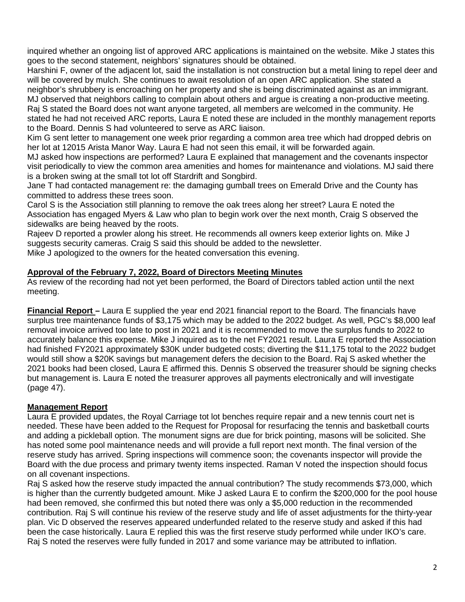inquired whether an ongoing list of approved ARC applications is maintained on the website. Mike J states this goes to the second statement, neighbors' signatures should be obtained.

Harshini F, owner of the adjacent lot, said the installation is not construction but a metal lining to repel deer and will be covered by mulch. She continues to await resolution of an open ARC application. She stated a neighbor's shrubbery is encroaching on her property and she is being discriminated against as an immigrant.

MJ observed that neighbors calling to complain about others and argue is creating a non-productive meeting. Raj S stated the Board does not want anyone targeted, all members are welcomed in the community. He stated he had not received ARC reports, Laura E noted these are included in the monthly management reports to the Board. Dennis S had volunteered to serve as ARC liaison.

Kim G sent letter to management one week prior regarding a common area tree which had dropped debris on her lot at 12015 Arista Manor Way. Laura E had not seen this email, it will be forwarded again.

MJ asked how inspections are performed? Laura E explained that management and the covenants inspector visit periodically to view the common area amenities and homes for maintenance and violations. MJ said there is a broken swing at the small tot lot off Stardrift and Songbird.

Jane T had contacted management re: the damaging gumball trees on Emerald Drive and the County has committed to address these trees soon.

Carol S is the Association still planning to remove the oak trees along her street? Laura E noted the Association has engaged Myers & Law who plan to begin work over the next month, Craig S observed the sidewalks are being heaved by the roots.

Rajeev D reported a prowler along his street. He recommends all owners keep exterior lights on. Mike J suggests security cameras. Craig S said this should be added to the newsletter.

Mike J apologized to the owners for the heated conversation this evening.

## **Approval of the February 7, 2022, Board of Directors Meeting Minutes**

As review of the recording had not yet been performed, the Board of Directors tabled action until the next meeting.

**Financial Report –** Laura E supplied the year end 2021 financial report to the Board. The financials have surplus tree maintenance funds of \$3,175 which may be added to the 2022 budget. As well, PGC's \$8,000 leaf removal invoice arrived too late to post in 2021 and it is recommended to move the surplus funds to 2022 to accurately balance this expense. Mike J inquired as to the net FY2021 result. Laura E reported the Association had finished FY2021 approximately \$30K under budgeted costs; diverting the \$11,175 total to the 2022 budget would still show a \$20K savings but management defers the decision to the Board. Raj S asked whether the 2021 books had been closed, Laura E affirmed this. Dennis S observed the treasurer should be signing checks but management is. Laura E noted the treasurer approves all payments electronically and will investigate (page 47).

### **Management Report**

Laura E provided updates, the Royal Carriage tot lot benches require repair and a new tennis court net is needed. These have been added to the Request for Proposal for resurfacing the tennis and basketball courts and adding a pickleball option. The monument signs are due for brick pointing, masons will be solicited. She has noted some pool maintenance needs and will provide a full report next month. The final version of the reserve study has arrived. Spring inspections will commence soon; the covenants inspector will provide the Board with the due process and primary twenty items inspected. Raman V noted the inspection should focus on all covenant inspections.

Raj S asked how the reserve study impacted the annual contribution? The study recommends \$73,000, which is higher than the currently budgeted amount. Mike J asked Laura E to confirm the \$200,000 for the pool house had been removed, she confirmed this but noted there was only a \$5,000 reduction in the recommended contribution. Raj S will continue his review of the reserve study and life of asset adjustments for the thirty-year plan. Vic D observed the reserves appeared underfunded related to the reserve study and asked if this had been the case historically. Laura E replied this was the first reserve study performed while under IKO's care. Raj S noted the reserves were fully funded in 2017 and some variance may be attributed to inflation.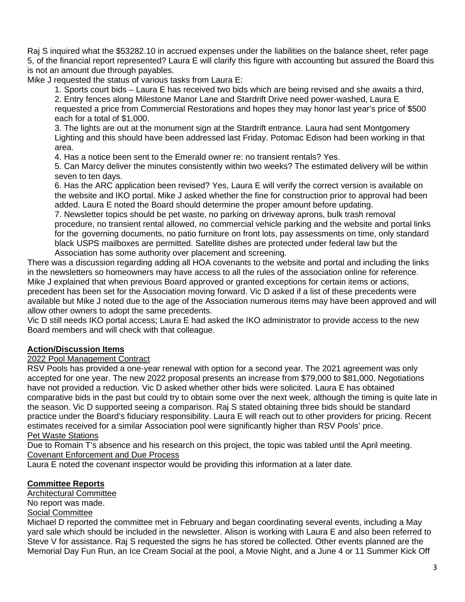Raj S inquired what the \$53282.10 in accrued expenses under the liabilities on the balance sheet, refer page 5, of the financial report represented? Laura E will clarify this figure with accounting but assured the Board this is not an amount due through payables.

Mike J requested the status of various tasks from Laura E:

1. Sports court bids – Laura E has received two bids which are being revised and she awaits a third,

2. Entry fences along Milestone Manor Lane and Stardrift Drive need power-washed, Laura E requested a price from Commercial Restorations and hopes they may honor last year's price of \$500 each for a total of \$1,000.

3. The lights are out at the monument sign at the Stardrift entrance. Laura had sent Montgomery Lighting and this should have been addressed last Friday. Potomac Edison had been working in that area.

4. Has a notice been sent to the Emerald owner re: no transient rentals? Yes.

5. Can Marcy deliver the minutes consistently within two weeks? The estimated delivery will be within seven to ten days.

6. Has the ARC application been revised? Yes, Laura E will verify the correct version is available on the website and IKO portal. Mike J asked whether the fine for construction prior to approval had been added. Laura E noted the Board should determine the proper amount before updating.

7. Newsletter topics should be pet waste, no parking on driveway aprons, bulk trash removal procedure, no transient rental allowed, no commercial vehicle parking and the website and portal links for the governing documents, no patio furniture on front lots, pay assessments on time, only standard black USPS mailboxes are permitted. Satellite dishes are protected under federal law but the Association has some authority over placement and screening.

There was a discussion regarding adding all HOA covenants to the website and portal and including the links in the newsletters so homeowners may have access to all the rules of the association online for reference. Mike J explained that when previous Board approved or granted exceptions for certain items or actions, precedent has been set for the Association moving forward. Vic D asked if a list of these precedents were available but Mike J noted due to the age of the Association numerous items may have been approved and will allow other owners to adopt the same precedents.

Vic D still needs IKO portal access; Laura E had asked the IKO administrator to provide access to the new Board members and will check with that colleague.

## **Action/Discussion Items**

### 2022 Pool Management Contract

RSV Pools has provided a one-year renewal with option for a second year. The 2021 agreement was only accepted for one year. The new 2022 proposal presents an increase from \$79,000 to \$81,000. Negotiations have not provided a reduction. Vic D asked whether other bids were solicited. Laura E has obtained comparative bids in the past but could try to obtain some over the next week, although the timing is quite late in the season. Vic D supported seeing a comparison. Raj S stated obtaining three bids should be standard practice under the Board's fiduciary responsibility. Laura E will reach out to other providers for pricing. Recent estimates received for a similar Association pool were significantly higher than RSV Pools' price. Pet Waste Stations

Due to Romain T's absence and his research on this project, the topic was tabled until the April meeting. Covenant Enforcement and Due Process

Laura E noted the covenant inspector would be providing this information at a later date.

### **Committee Reports**

Architectural Committee

No report was made.

## **Social Committee**

Michael D reported the committee met in February and began coordinating several events, including a May yard sale which should be included in the newsletter. Alison is working with Laura E and also been referred to Steve V for assistance. Raj S requested the signs he has stored be collected. Other events planned are the Memorial Day Fun Run, an Ice Cream Social at the pool, a Movie Night, and a June 4 or 11 Summer Kick Off